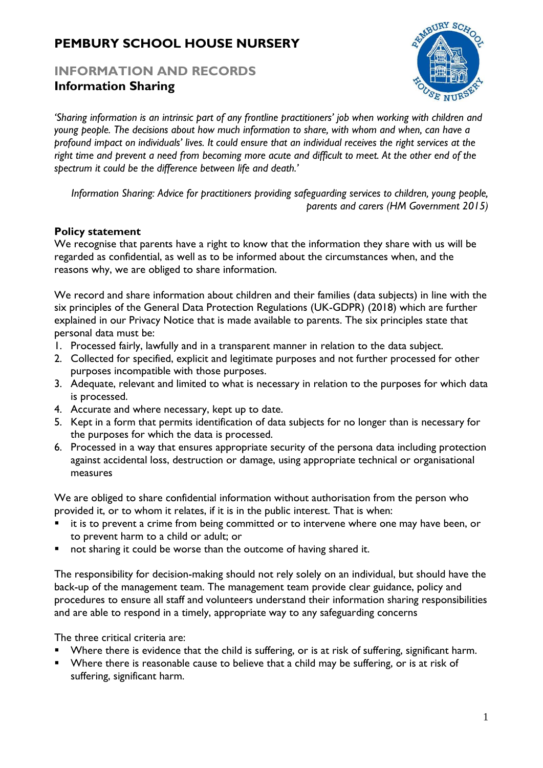# **PEMBURY SCHOOL HOUSE NURSERY**

## **INFORMATION AND RECORDS Information Sharing**



*'Sharing information is an intrinsic part of any frontline practitioners' job when working with children and young people. The decisions about how much information to share, with whom and when, can have a profound impact on individuals' lives. It could ensure that an individual receives the right services at the right time and prevent a need from becoming more acute and difficult to meet. At the other end of the spectrum it could be the difference between life and death.'*

*Information Sharing: Advice for practitioners providing safeguarding services to children, young people, parents and carers (HM Government 2015)*

## **Policy statement**

We recognise that parents have a right to know that the information they share with us will be regarded as confidential, as well as to be informed about the circumstances when, and the reasons why, we are obliged to share information.

We record and share information about children and their families (data subjects) in line with the six principles of the General Data Protection Regulations (UK-GDPR) (2018) which are further explained in our Privacy Notice that is made available to parents. The six principles state that personal data must be:

- 1. Processed fairly, lawfully and in a transparent manner in relation to the data subject.
- 2. Collected for specified, explicit and legitimate purposes and not further processed for other purposes incompatible with those purposes.
- 3. Adequate, relevant and limited to what is necessary in relation to the purposes for which data is processed.
- 4. Accurate and where necessary, kept up to date.
- 5. Kept in a form that permits identification of data subjects for no longer than is necessary for the purposes for which the data is processed.
- 6. Processed in a way that ensures appropriate security of the persona data including protection against accidental loss, destruction or damage, using appropriate technical or organisational measures

We are obliged to share confidential information without authorisation from the person who provided it, or to whom it relates, if it is in the public interest. That is when:

- it is to prevent a crime from being committed or to intervene where one may have been, or to prevent harm to a child or adult; or
- not sharing it could be worse than the outcome of having shared it.

The responsibility for decision-making should not rely solely on an individual, but should have the back-up of the management team. The management team provide clear guidance, policy and procedures to ensure all staff and volunteers understand their information sharing responsibilities and are able to respond in a timely, appropriate way to any safeguarding concerns

The three critical criteria are:

- Where there is evidence that the child is suffering, or is at risk of suffering, significant harm.
- Where there is reasonable cause to believe that a child may be suffering, or is at risk of suffering, significant harm.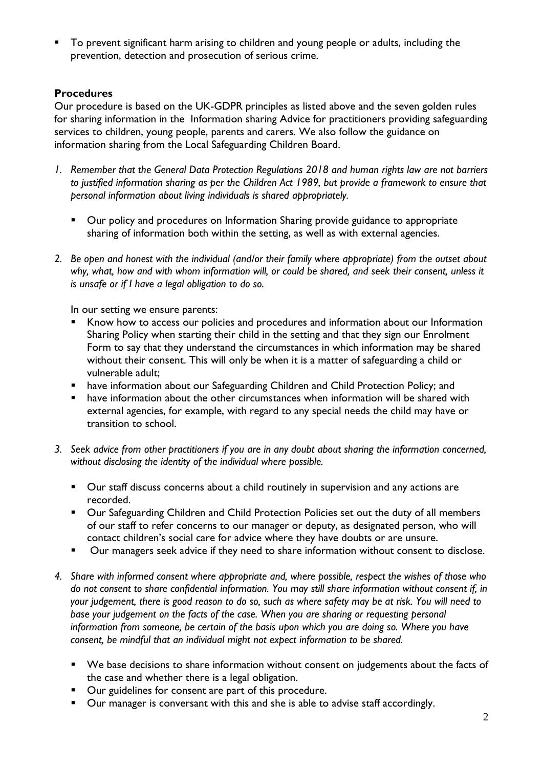■ To prevent significant harm arising to children and young people or adults, including the prevention, detection and prosecution of serious crime.

## **Procedures**

Our procedure is based on the UK-GDPR principles as listed above and the seven golden rules for sharing information in the Information sharing Advice for practitioners providing safeguarding services to children, young people, parents and carers*.* We also follow the guidance on information sharing from the Local Safeguarding Children Board.

- *1. Remember that the General Data Protection Regulations 2018 and human rights law are not barriers to justified information sharing as per the Children Act 1989, but provide a framework to ensure that personal information about living individuals is shared appropriately.*
	- Our policy and procedures on Information Sharing provide guidance to appropriate sharing of information both within the setting, as well as with external agencies.
- *2. Be open and honest with the individual (and/or their family where appropriate) from the outset about why, what, how and with whom information will, or could be shared, and seek their consent, unless it is unsafe or if I have a legal obligation to do so.*

In our setting we ensure parents:

- Know how to access our policies and procedures and information about our Information Sharing Policy when starting their child in the setting and that they sign our Enrolment Form to say that they understand the circumstances in which information may be shared without their consent. This will only be when it is a matter of safeguarding a child or vulnerable adult;
- have information about our Safeguarding Children and Child Protection Policy; and
- have information about the other circumstances when information will be shared with external agencies, for example, with regard to any special needs the child may have or transition to school.
- *3. Seek advice from other practitioners if you are in any doubt about sharing the information concerned, without disclosing the identity of the individual where possible.*
	- Our staff discuss concerns about a child routinely in supervision and any actions are recorded.
	- Our Safeguarding Children and Child Protection Policies set out the duty of all members of our staff to refer concerns to our manager or deputy, as designated person, who will contact children's social care for advice where they have doubts or are unsure.
	- Our managers seek advice if they need to share information without consent to disclose.
- *4. Share with informed consent where appropriate and, where possible, respect the wishes of those who do not consent to share confidential information. You may still share information without consent if, in your judgement, there is good reason to do so, such as where safety may be at risk. You will need to base your judgement on the facts of the case. When you are sharing or requesting personal information from someone, be certain of the basis upon which you are doing so. Where you have consent, be mindful that an individual might not expect information to be shared.* 
	- We base decisions to share information without consent on judgements about the facts of the case and whether there is a legal obligation.
	- Our guidelines for consent are part of this procedure.
	- Our manager is conversant with this and she is able to advise staff accordingly.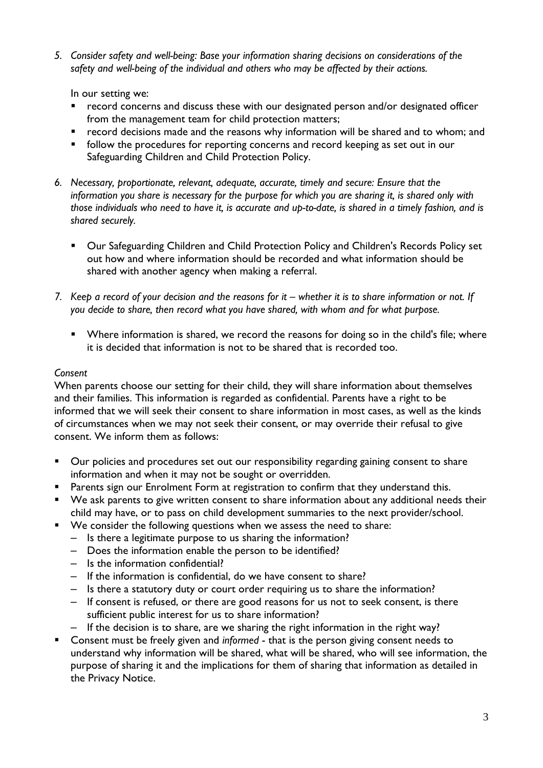*5. Consider safety and well-being: Base your information sharing decisions on considerations of the safety and well-being of the individual and others who may be affected by their actions.*

In our setting we:

- record concerns and discuss these with our designated person and/or designated officer from the management team for child protection matters;
- record decisions made and the reasons why information will be shared and to whom; and
- **•** follow the procedures for reporting concerns and record keeping as set out in our Safeguarding Children and Child Protection Policy.
- *6. Necessary, proportionate, relevant, adequate, accurate, timely and secure: Ensure that the information you share is necessary for the purpose for which you are sharing it, is shared only with those individuals who need to have it, is accurate and up-to-date, is shared in a timely fashion, and is shared securely.*
	- Our Safeguarding Children and Child Protection Policy and Children's Records Policy set out how and where information should be recorded and what information should be shared with another agency when making a referral.
- *7.* Keep a record of your decision and the reasons for it whether it is to share information or not. If *you decide to share, then record what you have shared, with whom and for what purpose.*
	- Where information is shared, we record the reasons for doing so in the child's file; where it is decided that information is not to be shared that is recorded too.

#### *Consent*

When parents choose our setting for their child, they will share information about themselves and their families. This information is regarded as confidential. Parents have a right to be informed that we will seek their consent to share information in most cases, as well as the kinds of circumstances when we may not seek their consent, or may override their refusal to give consent. We inform them as follows:

- Our policies and procedures set out our responsibility regarding gaining consent to share information and when it may not be sought or overridden.
- **•** Parents sign our Enrolment Form at registration to confirm that they understand this.
- We ask parents to give written consent to share information about any additional needs their child may have, or to pass on child development summaries to the next provider/school.
- We consider the following questions when we assess the need to share:
	- Is there a legitimate purpose to us sharing the information?
	- Does the information enable the person to be identified?
	- Is the information confidential?
	- If the information is confidential, do we have consent to share?
	- Is there a statutory duty or court order requiring us to share the information?
	- If consent is refused, or there are good reasons for us not to seek consent, is there sufficient public interest for us to share information?
	- If the decision is to share, are we sharing the right information in the right way?
- Consent must be freely given and *informed* that is the person giving consent needs to understand why information will be shared, what will be shared, who will see information, the purpose of sharing it and the implications for them of sharing that information as detailed in the Privacy Notice.